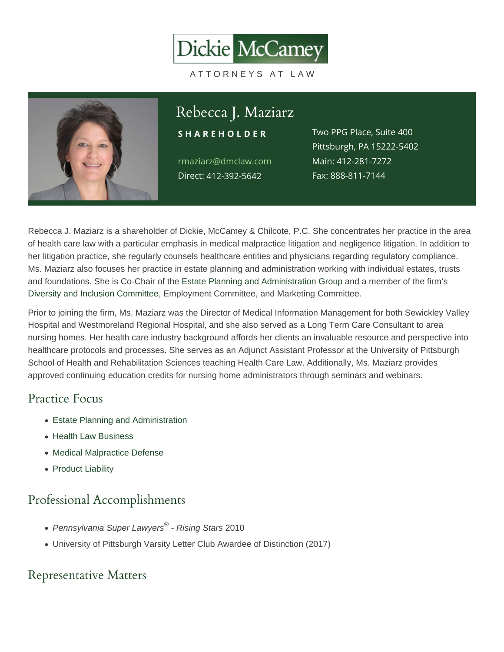# Rebecca J. Maziarz

S H A R E H O L D E RWO PPG Place, Suite 400 rmaziarz @ d m c l a w . c o m M a i n4: 1 2 - 2 8 1 - 7 2 7 2 Direct12-392-5642 Fax: 888-811-7144 Pittsburgh, PA 15222-5402

Rebecca J. Maziarz is a shareholder of Dickie, McCamey & Chilcote, P.C. She concentrates her practice in the area of health care law with a particular emphasis in medical malpractice litigation and negligence litigation. In addition to her litigation practice, she regularly counsels healthcare entities and physicians regarding regulatory compliance. Ms. Maziarz also focuses her practice in estate planning and administration working with individual estates, trusts and foundations. She is Co-Chair of the [Estate Planning and Administration Group](/practices/estate-planning-and-administration/) and a member of the firm's [Diversity and Inclusion Committee,](/about/diversity-and-inclusion/) Employment Committee, and Marketing Committee.

Prior to joining the firm, Ms. Maziarz was the Director of Medical Information Management for both Sewickley Valley Hospital and Westmoreland Regional Hospital, and she also served as a Long Term Care Consultant to area nursing homes. Her health care industry background affords her clients an invaluable resource and perspective into healthcare protocols and processes. She serves as an Adjunct Assistant Professor at the University of Pittsburgh School of Health and Rehabilitation Sciences teaching Health Care Law. Additionally, Ms. Maziarz provides approved continuing education credits for nursing home administrators through seminars and webinars.

### Practice Focus

- [Estate Planning and Administration](https://www.dmclaw.com/practices/estate-planning-and-administration/)
- [Health Law Business](https://www.dmclaw.com/practices/health-law-business/)
- [Medical Malpractice Defense](https://www.dmclaw.com/practices/medical-malpractice-defense/)
- [Product Liability](https://www.dmclaw.com/practices/product-liability/)

# Professional Accomplishments

- Pennsylvania Super Lawyers® Rising Stars 2010
- University of Pittsburgh Varsity Letter Club Awardee of Distinction (2017)

# Representative Matters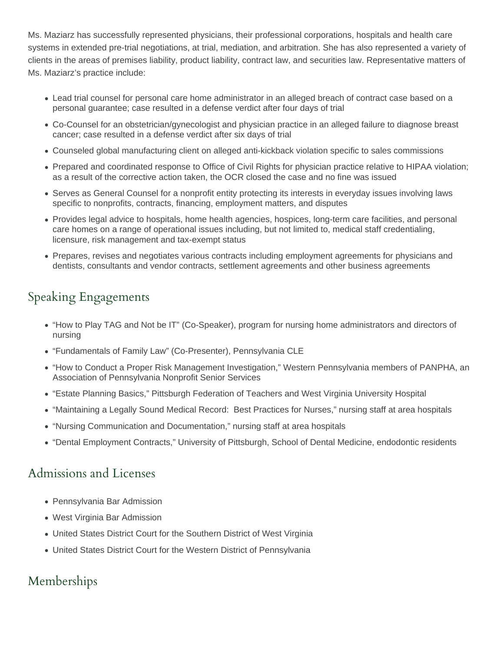Ms. Maziarz has successfully represented physicians, their professional corporations, hospitals and health care systems in extended pre-trial negotiations, at trial, mediation, and arbitration. She has also represented a variety of clients in the areas of premises liability, product liability, contract law, and securities law. Representative matters of Ms. Maziarz's practice include:

- Lead trial counsel for personal care home administrator in an alleged breach of contract case based on a personal guarantee; case resulted in a defense verdict after four days of trial
- Co-Counsel for an obstetrician/gynecologist and physician practice in an alleged failure to diagnose breast cancer; case resulted in a defense verdict after six days of trial
- Counseled global manufacturing client on alleged anti-kickback violation specific to sales commissions
- Prepared and coordinated response to Office of Civil Rights for physician practice relative to HIPAA violation; as a result of the corrective action taken, the OCR closed the case and no fine was issued
- Serves as General Counsel for a nonprofit entity protecting its interests in everyday issues involving laws specific to nonprofits, contracts, financing, employment matters, and disputes
- Provides legal advice to hospitals, home health agencies, hospices, long-term care facilities, and personal care homes on a range of operational issues including, but not limited to, medical staff credentialing, licensure, risk management and tax-exempt status
- Prepares, revises and negotiates various contracts including employment agreements for physicians and dentists, consultants and vendor contracts, settlement agreements and other business agreements

# Speaking Engagements

- "How to Play TAG and Not be IT" (Co-Speaker), program for nursing home administrators and directors of nursing
- "Fundamentals of Family Law" (Co-Presenter), Pennsylvania CLE
- "How to Conduct a Proper Risk Management Investigation," Western Pennsylvania members of PANPHA, an Association of Pennsylvania Nonprofit Senior Services
- "Estate Planning Basics," Pittsburgh Federation of Teachers and West Virginia University Hospital
- "Maintaining a Legally Sound Medical Record: Best Practices for Nurses," nursing staff at area hospitals
- "Nursing Communication and Documentation," nursing staff at area hospitals
- "Dental Employment Contracts," University of Pittsburgh, School of Dental Medicine, endodontic residents

#### Admissions and Licenses

- Pennsylvania Bar Admission
- West Virginia Bar Admission
- United States District Court for the Southern District of West Virginia
- United States District Court for the Western District of Pennsylvania

# Memberships